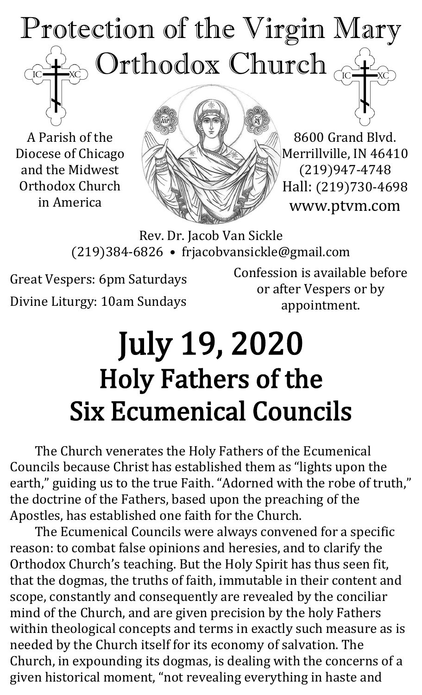## Protection of the Virgin Mary  $_{\odot}$  Orthodox Church  $_{\rm GC}$  $\overline{C}$

A Parish of the Diocese of Chicago and the Midwest Orthodox Church in America



8600 Grand Blvd. Merrillville, IN 46410 (219)947-4748 Hall: (219)730-4698 www.ptvm.com

Rev. Dr. Jacob Van Sickle (219)384-6826 • frjacobvansickle@gmail.com

Great Vespers: 6pm Saturdays Divine Liturgy: 10am Sundays

Confession is available before or after Vespers or by appointment.

## July 19, 2020 Holy Fathers of the Six Ecumenical Councils

The Church venerates the Holy Fathers of the Ecumenical Councils because Christ has established them as "lights upon the earth," guiding us to the true Faith. "Adorned with the robe of truth," the doctrine of the Fathers, based upon the preaching of the Apostles, has established one faith for the Church.

The Ecumenical Councils were always convened for a specific reason: to combat false opinions and heresies, and to clarify the Orthodox Church's teaching. But the Holy Spirit has thus seen fit, that the dogmas, the truths of faith, immutable in their content and scope, constantly and consequently are revealed by the conciliar mind of the Church, and are given precision by the holy Fathers within theological concepts and terms in exactly such measure as is needed by the Church itself for its economy of salvation. The Church, in expounding its dogmas, is dealing with the concerns of a given historical moment, "not revealing everything in haste and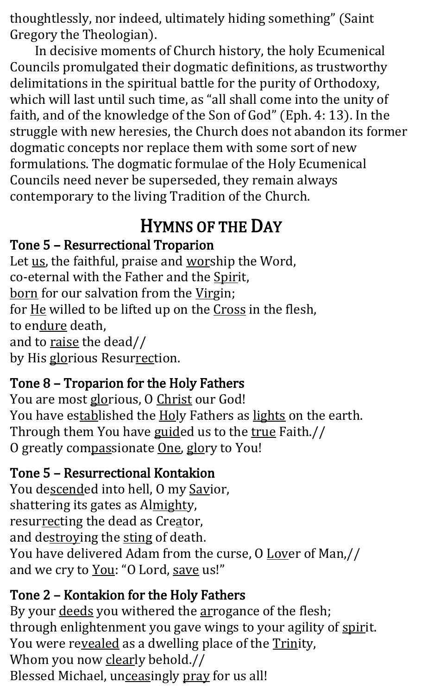thoughtlessly, nor indeed, ultimately hiding something" (Saint Gregory the Theologian).

In decisive moments of Church history, the holy Ecumenical Councils promulgated their dogmatic definitions, as trustworthy delimitations in the spiritual battle for the purity of Orthodoxy, which will last until such time, as "all shall come into the unity of faith, and of the knowledge of the Son of God" (Eph. 4: 13). In the struggle with new heresies, the Church does not abandon its former dogmatic concepts nor replace them with some sort of new formulations. The dogmatic formulae of the Holy Ecumenical Councils need never be superseded, they remain always contemporary to the living Tradition of the Church.

## HYMNS OF THE DAY

#### Tone 5 – Resurrectional Troparion

Let us, the faithful, praise and worship the Word, co-eternal with the Father and the Spirit, born for our salvation from the Virgin; for He willed to be lifted up on the Cross in the flesh, to endure death, and to raise the dead// by His glorious Resurrection.

#### Tone 8 – Troparion for the Holy Fathers

You are most glorious, O Christ our God! You have established the Holy Fathers as lights on the earth. Through them You have guided us to the true Faith.// O greatly compassionate One, glory to You!

#### Tone 5 – Resurrectional Kontakion

You descended into hell, O my Savior, shattering its gates as Almighty, resurrecting the dead as Creator, and destroying the sting of death. You have delivered Adam from the curse, O Lover of Man,// and we cry to You: "O Lord, save us!"

#### Tone 2 – Kontakion for the Holy Fathers

By your deeds you withered the arrogance of the flesh; through enlightenment you gave wings to your agility of spirit. You were revealed as a dwelling place of the Trinity, Whom you now clearly behold.// Blessed Michael, unceasingly pray for us all!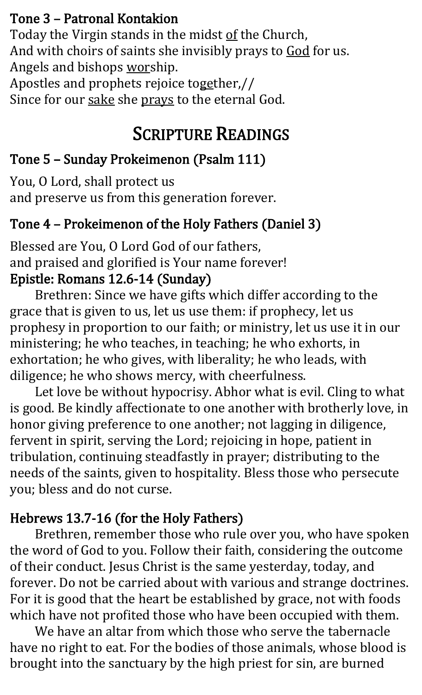#### Tone 3 – Patronal Kontakion

Today the Virgin stands in the midst of the Church, And with choirs of saints she invisibly prays to God for us. Angels and bishops worship.

Apostles and prophets rejoice together,// Since for our sake she prays to the eternal God.

#### SCRIPTURE READINGS

#### Tone 5 – Sunday Prokeimenon (Psalm 111)

You, O Lord, shall protect us and preserve us from this generation forever.

#### Tone 4 – Prokeimenon of the Holy Fathers (Daniel 3)

Blessed are You, O Lord God of our fathers, and praised and glorified is Your name forever! Epistle: Romans 12.6-14 (Sunday)

Brethren: Since we have gifts which differ according to the grace that is given to us, let us use them: if prophecy, let us prophesy in proportion to our faith; or ministry, let us use it in our ministering; he who teaches, in teaching; he who exhorts, in exhortation; he who gives, with liberality; he who leads, with diligence; he who shows mercy, with cheerfulness.

Let love be without hypocrisy. Abhor what is evil. Cling to what is good. Be kindly affectionate to one another with brotherly love, in honor giving preference to one another; not lagging in diligence, fervent in spirit, serving the Lord; rejoicing in hope, patient in tribulation, continuing steadfastly in prayer; distributing to the needs of the saints, given to hospitality. Bless those who persecute you; bless and do not curse.

#### Hebrews 13.7-16 (for the Holy Fathers)

Brethren, remember those who rule over you, who have spoken the word of God to you. Follow their faith, considering the outcome of their conduct. Jesus Christ is the same yesterday, today, and forever. Do not be carried about with various and strange doctrines. For it is good that the heart be established by grace, not with foods which have not profited those who have been occupied with them.

We have an altar from which those who serve the tabernacle have no right to eat. For the bodies of those animals, whose blood is brought into the sanctuary by the high priest for sin, are burned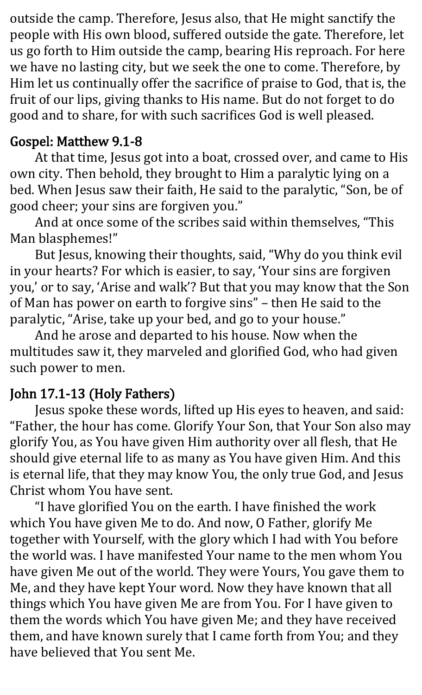outside the camp. Therefore, Jesus also, that He might sanctify the people with His own blood, suffered outside the gate. Therefore, let us go forth to Him outside the camp, bearing His reproach. For here we have no lasting city, but we seek the one to come. Therefore, by Him let us continually offer the sacrifice of praise to God, that is, the fruit of our lips, giving thanks to His name. But do not forget to do good and to share, for with such sacrifices God is well pleased.

#### Gospel: Matthew 9.1-8

At that time, Jesus got into a boat, crossed over, and came to His own city. Then behold, they brought to Him a paralytic lying on a bed. When Jesus saw their faith, He said to the paralytic, "Son, be of good cheer; your sins are forgiven you."

And at once some of the scribes said within themselves, "This Man blasphemes!"

But Jesus, knowing their thoughts, said, "Why do you think evil in your hearts? For which is easier, to say, 'Your sins are forgiven you,' or to say, 'Arise and walk'? But that you may know that the Son of Man has power on earth to forgive sins" – then He said to the paralytic, "Arise, take up your bed, and go to your house."

And he arose and departed to his house. Now when the multitudes saw it, they marveled and glorified God, who had given such power to men.

#### John 17.1-13 (Holy Fathers)

Jesus spoke these words, lifted up His eyes to heaven, and said: "Father, the hour has come. Glorify Your Son, that Your Son also may glorify You, as You have given Him authority over all flesh, that He should give eternal life to as many as You have given Him. And this is eternal life, that they may know You, the only true God, and Jesus Christ whom You have sent.

"I have glorified You on the earth. I have finished the work which You have given Me to do. And now, O Father, glorify Me together with Yourself, with the glory which I had with You before the world was. I have manifested Your name to the men whom You have given Me out of the world. They were Yours, You gave them to Me, and they have kept Your word. Now they have known that all things which You have given Me are from You. For I have given to them the words which You have given Me; and they have received them, and have known surely that I came forth from You; and they have believed that You sent Me.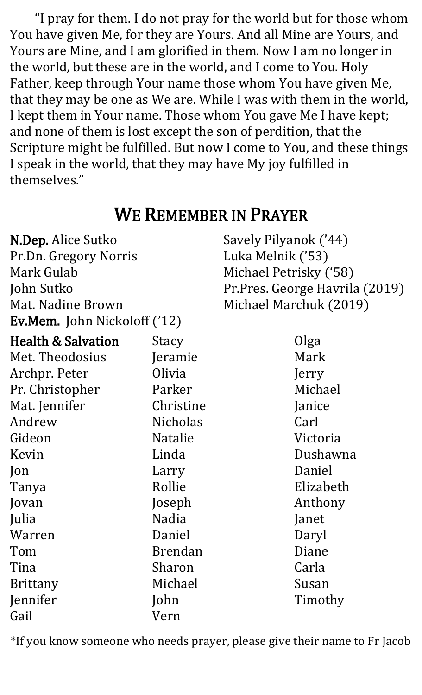"I pray for them. I do not pray for the world but for those whom You have given Me, for they are Yours. And all Mine are Yours, and Yours are Mine, and I am glorified in them. Now I am no longer in the world, but these are in the world, and I come to You. Holy Father, keep through Your name those whom You have given Me, that they may be one as We are. While I was with them in the world, I kept them in Your name. Those whom You gave Me I have kept; and none of them is lost except the son of perdition, that the Scripture might be fulfilled. But now I come to You, and these things I speak in the world, that they may have My joy fulfilled in themselves."

### WE REMEMBER IN PRAYER

N.Dep. Alice Sutko Pr.Dn. Gregory Norris Mark Gulab John Sutko Mat. Nadine Brown Ev.Mem. John Nickoloff ('12) Savely Pilyanok ('44) Luka Melnik ('53) Michael Petrisky ('58) Pr.Pres. George Havrila (2019) Michael Marchuk (2019)

| <b>Health &amp; Salvation</b> | Stacy           | Olga      |
|-------------------------------|-----------------|-----------|
| Met. Theodosius               | Jeramie         | Mark      |
| Archpr. Peter                 | Olivia          | Jerry     |
| Pr. Christopher               | Parker          | Michael   |
| Mat. Jennifer                 | Christine       | Janice    |
| Andrew                        | <b>Nicholas</b> | Carl      |
| Gideon                        | <b>Natalie</b>  | Victoria  |
| Kevin                         | Linda           | Dushawna  |
| Jon                           | Larry           | Daniel    |
| Tanya                         | Rollie          | Elizabeth |
| Jovan                         | Joseph          | Anthony   |
| Julia                         | Nadia           | Janet     |
| Warren                        | Daniel          | Daryl     |
| Tom                           | <b>Brendan</b>  | Diane     |
| Tina                          | Sharon          | Carla     |
| <b>Brittany</b>               | Michael         | Susan     |
| Jennifer                      | John            | Timothy   |
| Gail                          | Vern            |           |
|                               |                 |           |

\*If you know someone who needs prayer, please give their name to Fr Jacob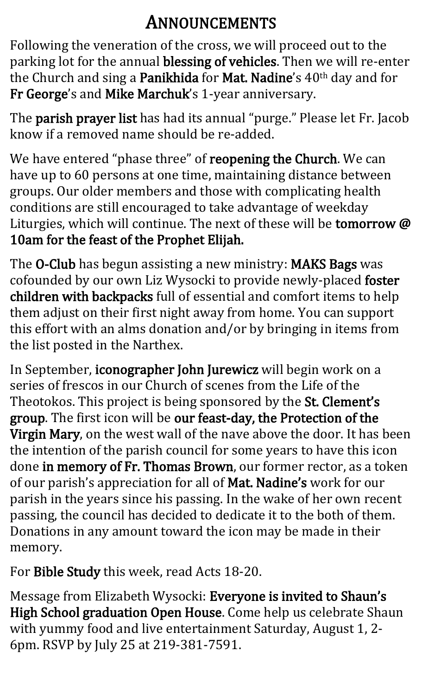### ANNOUNCEMENTS

Following the veneration of the cross, we will proceed out to the parking lot for the annual blessing of vehicles. Then we will re-enter the Church and sing a Panikhida for Mat. Nadine's 40<sup>th</sup> day and for Fr George's and Mike Marchuk's 1-year anniversary.

The parish prayer list has had its annual "purge." Please let Fr. Jacob know if a removed name should be re-added.

We have entered "phase three" of reopening the Church. We can have up to 60 persons at one time, maintaining distance between groups. Our older members and those with complicating health conditions are still encouraged to take advantage of weekday Liturgies, which will continue. The next of these will be tomorrow @ 10am for the feast of the Prophet Elijah.

The O-Club has begun assisting a new ministry: MAKS Bags was cofounded by our own Liz Wysocki to provide newly-placed foster children with backpacks full of essential and comfort items to help them adjust on their first night away from home. You can support this effort with an alms donation and/or by bringing in items from the list posted in the Narthex.

In September, iconographer John Jurewicz will begin work on a series of frescos in our Church of scenes from the Life of the Theotokos. This project is being sponsored by the St. Clement's group. The first icon will be our feast-day, the Protection of the Virgin Mary, on the west wall of the nave above the door. It has been the intention of the parish council for some years to have this icon done in memory of Fr. Thomas Brown, our former rector, as a token of our parish's appreciation for all of Mat. Nadine's work for our parish in the years since his passing. In the wake of her own recent passing, the council has decided to dedicate it to the both of them. Donations in any amount toward the icon may be made in their memory.

For Bible Study this week, read Acts 18-20.

Message from Elizabeth Wysocki: Everyone is invited to Shaun's High School graduation Open House. Come help us celebrate Shaun with yummy food and live entertainment Saturday, August 1, 2- 6pm. RSVP by July 25 at 219-381-7591.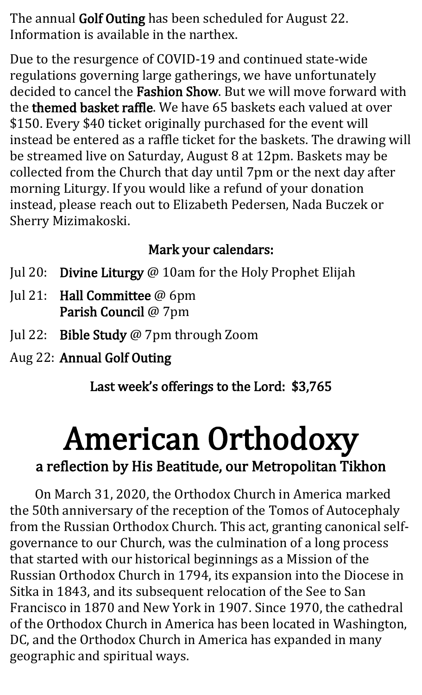The annual Golf Outing has been scheduled for August 22. Information is available in the narthex.

Due to the resurgence of COVID-19 and continued state-wide regulations governing large gatherings, we have unfortunately decided to cancel the Fashion Show. But we will move forward with the themed basket raffle. We have 65 baskets each valued at over \$150. Every \$40 ticket originally purchased for the event will instead be entered as a raffle ticket for the baskets. The drawing will be streamed live on Saturday, August 8 at 12pm. Baskets may be collected from the Church that day until 7pm or the next day after morning Liturgy. If you would like a refund of your donation instead, please reach out to Elizabeth Pedersen, Nada Buczek or Sherry Mizimakoski.

#### Mark your calendars:

- Jul 20: Divine Liturgy @ 10am for the Holy Prophet Elijah
- Jul 21: Hall Committee @ 6pm Parish Council @ 7pm
- Jul 22: Bible Study @ 7pm through Zoom
- Aug 22: Annual Golf Outing

Last week's offerings to the Lord: \$3,765

## American Orthodoxy

#### a reflection by His Beatitude, our Metropolitan Tikhon

On March 31, 2020, the Orthodox Church in America marked the 50th anniversary of the reception of the Tomos of Autocephaly from the Russian Orthodox Church. This act, granting canonical selfgovernance to our Church, was the culmination of a long process that started with our historical beginnings as a Mission of the Russian Orthodox Church in 1794, its expansion into the Diocese in Sitka in 1843, and its subsequent relocation of the See to San Francisco in 1870 and New York in 1907. Since 1970, the cathedral of the Orthodox Church in America has been located in Washington, DC, and the Orthodox Church in America has expanded in many geographic and spiritual ways.